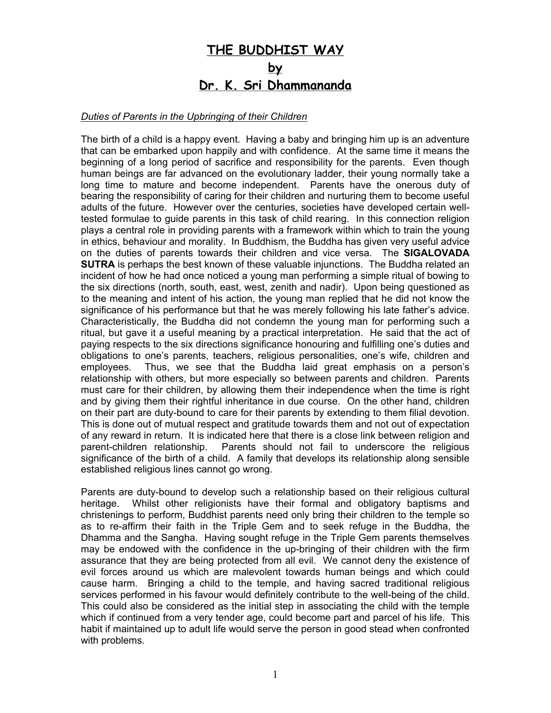# **THE BUDDHIST WAY by Dr. K. Sri Dhammananda**

#### *Duties of Parents in the Upbringing of their Children*

The birth of a child is a happy event. Having a baby and bringing him up is an adventure that can be embarked upon happily and with confidence. At the same time it means the beginning of a long period of sacrifice and responsibility for the parents. Even though human beings are far advanced on the evolutionary ladder, their young normally take a long time to mature and become independent. Parents have the onerous duty of bearing the responsibility of caring for their children and nurturing them to become useful adults of the future. However over the centuries, societies have developed certain welltested formulae to guide parents in this task of child rearing. In this connection religion plays a central role in providing parents with a framework within which to train the young in ethics, behaviour and morality. In Buddhism, the Buddha has given very useful advice on the duties of parents towards their children and vice versa. The **SIGALOVADA SUTRA** is perhaps the best known of these valuable injunctions. The Buddha related an incident of how he had once noticed a young man performing a simple ritual of bowing to the six directions (north, south, east, west, zenith and nadir). Upon being questioned as to the meaning and intent of his action, the young man replied that he did not know the significance of his performance but that he was merely following his late father's advice. Characteristically, the Buddha did not condemn the young man for performing such a ritual, but gave it a useful meaning by a practical interpretation. He said that the act of paying respects to the six directions significance honouring and fulfilling one's duties and obligations to one's parents, teachers, religious personalities, one's wife, children and employees. Thus, we see that the Buddha laid great emphasis on a person's relationship with others, but more especially so between parents and children. Parents must care for their children, by allowing them their independence when the time is right and by giving them their rightful inheritance in due course. On the other hand, children on their part are duty-bound to care for their parents by extending to them filial devotion. This is done out of mutual respect and gratitude towards them and not out of expectation of any reward in return. It is indicated here that there is a close link between religion and parent-children relationship. Parents should not fail to underscore the religious significance of the birth of a child. A family that develops its relationship along sensible established religious lines cannot go wrong.

Parents are duty-bound to develop such a relationship based on their religious cultural heritage. Whilst other religionists have their formal and obligatory baptisms and christenings to perform, Buddhist parents need only bring their children to the temple so as to re-affirm their faith in the Triple Gem and to seek refuge in the Buddha, the Dhamma and the Sangha. Having sought refuge in the Triple Gem parents themselves may be endowed with the confidence in the up-bringing of their children with the firm assurance that they are being protected from all evil. We cannot deny the existence of evil forces around us which are malevolent towards human beings and which could cause harm. Bringing a child to the temple, and having sacred traditional religious services performed in his favour would definitely contribute to the well-being of the child. This could also be considered as the initial step in associating the child with the temple which if continued from a very tender age, could become part and parcel of his life. This habit if maintained up to adult life would serve the person in good stead when confronted with problems.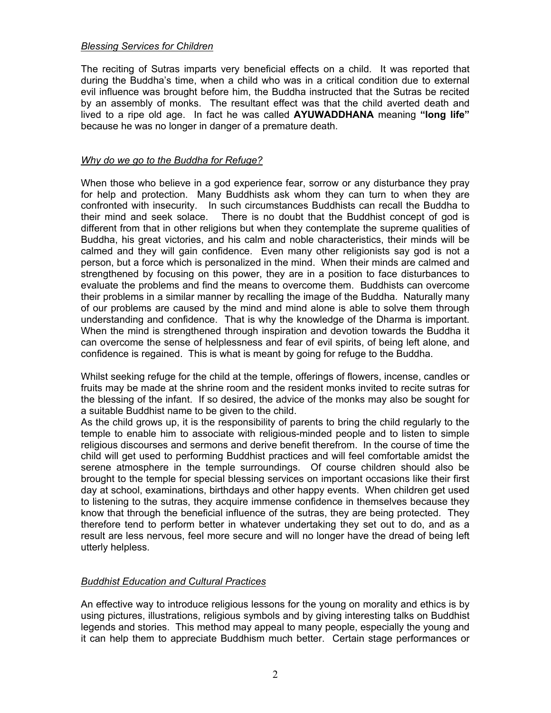#### *Blessing Services for Children*

The reciting of Sutras imparts very beneficial effects on a child. It was reported that during the Buddha's time, when a child who was in a critical condition due to external evil influence was brought before him, the Buddha instructed that the Sutras be recited by an assembly of monks. The resultant effect was that the child averted death and lived to a ripe old age. In fact he was called **AYUWADDHANA** meaning **"long life"** because he was no longer in danger of a premature death.

## *Why do we go to the Buddha for Refuge?*

When those who believe in a god experience fear, sorrow or any disturbance they pray for help and protection. Many Buddhists ask whom they can turn to when they are confronted with insecurity. In such circumstances Buddhists can recall the Buddha to their mind and seek solace. There is no doubt that the Buddhist concept of god is different from that in other religions but when they contemplate the supreme qualities of Buddha, his great victories, and his calm and noble characteristics, their minds will be calmed and they will gain confidence. Even many other religionists say god is not a person, but a force which is personalized in the mind. When their minds are calmed and strengthened by focusing on this power, they are in a position to face disturbances to evaluate the problems and find the means to overcome them. Buddhists can overcome their problems in a similar manner by recalling the image of the Buddha. Naturally many of our problems are caused by the mind and mind alone is able to solve them through understanding and confidence. That is why the knowledge of the Dharma is important. When the mind is strengthened through inspiration and devotion towards the Buddha it can overcome the sense of helplessness and fear of evil spirits, of being left alone, and confidence is regained. This is what is meant by going for refuge to the Buddha.

Whilst seeking refuge for the child at the temple, offerings of flowers, incense, candles or fruits may be made at the shrine room and the resident monks invited to recite sutras for the blessing of the infant. If so desired, the advice of the monks may also be sought for a suitable Buddhist name to be given to the child.

As the child grows up, it is the responsibility of parents to bring the child regularly to the temple to enable him to associate with religious-minded people and to listen to simple religious discourses and sermons and derive benefit therefrom. In the course of time the child will get used to performing Buddhist practices and will feel comfortable amidst the serene atmosphere in the temple surroundings. Of course children should also be brought to the temple for special blessing services on important occasions like their first day at school, examinations, birthdays and other happy events. When children get used to listening to the sutras, they acquire immense confidence in themselves because they know that through the beneficial influence of the sutras, they are being protected. They therefore tend to perform better in whatever undertaking they set out to do, and as a result are less nervous, feel more secure and will no longer have the dread of being left utterly helpless.

# *Buddhist Education and Cultural Practices*

An effective way to introduce religious lessons for the young on morality and ethics is by using pictures, illustrations, religious symbols and by giving interesting talks on Buddhist legends and stories. This method may appeal to many people, especially the young and it can help them to appreciate Buddhism much better. Certain stage performances or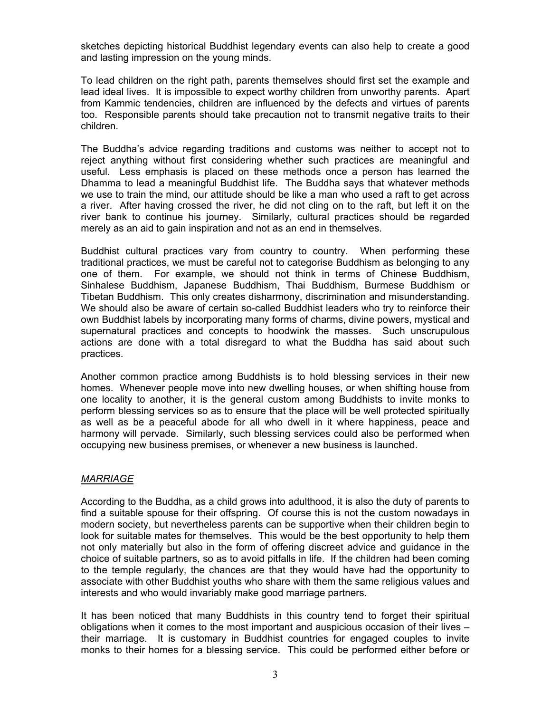sketches depicting historical Buddhist legendary events can also help to create a good and lasting impression on the young minds.

To lead children on the right path, parents themselves should first set the example and lead ideal lives. It is impossible to expect worthy children from unworthy parents. Apart from Kammic tendencies, children are influenced by the defects and virtues of parents too. Responsible parents should take precaution not to transmit negative traits to their children.

The Buddha's advice regarding traditions and customs was neither to accept not to reject anything without first considering whether such practices are meaningful and useful. Less emphasis is placed on these methods once a person has learned the Dhamma to lead a meaningful Buddhist life. The Buddha says that whatever methods we use to train the mind, our attitude should be like a man who used a raft to get across a river. After having crossed the river, he did not cling on to the raft, but left it on the river bank to continue his journey. Similarly, cultural practices should be regarded merely as an aid to gain inspiration and not as an end in themselves.

Buddhist cultural practices vary from country to country. When performing these traditional practices, we must be careful not to categorise Buddhism as belonging to any one of them. For example, we should not think in terms of Chinese Buddhism, Sinhalese Buddhism, Japanese Buddhism, Thai Buddhism, Burmese Buddhism or Tibetan Buddhism. This only creates disharmony, discrimination and misunderstanding. We should also be aware of certain so-called Buddhist leaders who try to reinforce their own Buddhist labels by incorporating many forms of charms, divine powers, mystical and supernatural practices and concepts to hoodwink the masses. Such unscrupulous actions are done with a total disregard to what the Buddha has said about such practices.

Another common practice among Buddhists is to hold blessing services in their new homes. Whenever people move into new dwelling houses, or when shifting house from one locality to another, it is the general custom among Buddhists to invite monks to perform blessing services so as to ensure that the place will be well protected spiritually as well as be a peaceful abode for all who dwell in it where happiness, peace and harmony will pervade. Similarly, such blessing services could also be performed when occupying new business premises, or whenever a new business is launched.

### *MARRIAGE*

According to the Buddha, as a child grows into adulthood, it is also the duty of parents to find a suitable spouse for their offspring. Of course this is not the custom nowadays in modern society, but nevertheless parents can be supportive when their children begin to look for suitable mates for themselves. This would be the best opportunity to help them not only materially but also in the form of offering discreet advice and guidance in the choice of suitable partners, so as to avoid pitfalls in life. If the children had been coming to the temple regularly, the chances are that they would have had the opportunity to associate with other Buddhist youths who share with them the same religious values and interests and who would invariably make good marriage partners.

It has been noticed that many Buddhists in this country tend to forget their spiritual obligations when it comes to the most important and auspicious occasion of their lives – their marriage. It is customary in Buddhist countries for engaged couples to invite monks to their homes for a blessing service. This could be performed either before or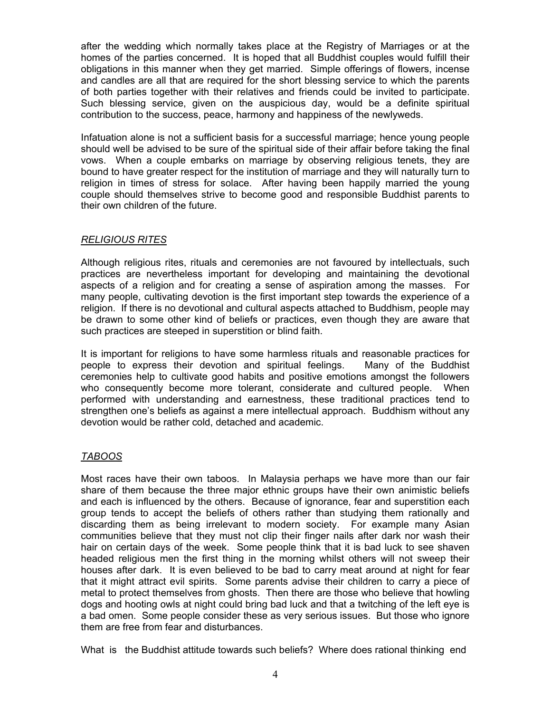after the wedding which normally takes place at the Registry of Marriages or at the homes of the parties concerned. It is hoped that all Buddhist couples would fulfill their obligations in this manner when they get married. Simple offerings of flowers, incense and candles are all that are required for the short blessing service to which the parents of both parties together with their relatives and friends could be invited to participate. Such blessing service, given on the auspicious day, would be a definite spiritual contribution to the success, peace, harmony and happiness of the newlyweds.

Infatuation alone is not a sufficient basis for a successful marriage; hence young people should well be advised to be sure of the spiritual side of their affair before taking the final vows. When a couple embarks on marriage by observing religious tenets, they are bound to have greater respect for the institution of marriage and they will naturally turn to religion in times of stress for solace. After having been happily married the young couple should themselves strive to become good and responsible Buddhist parents to their own children of the future.

### *RELIGIOUS RITES*

Although religious rites, rituals and ceremonies are not favoured by intellectuals, such practices are nevertheless important for developing and maintaining the devotional aspects of a religion and for creating a sense of aspiration among the masses. For many people, cultivating devotion is the first important step towards the experience of a religion. If there is no devotional and cultural aspects attached to Buddhism, people may be drawn to some other kind of beliefs or practices, even though they are aware that such practices are steeped in superstition or blind faith.

It is important for religions to have some harmless rituals and reasonable practices for people to express their devotion and spiritual feelings. Many of the Buddhist ceremonies help to cultivate good habits and positive emotions amongst the followers who consequently become more tolerant, considerate and cultured people. When performed with understanding and earnestness, these traditional practices tend to strengthen one's beliefs as against a mere intellectual approach. Buddhism without any devotion would be rather cold, detached and academic.

# *TABOOS*

Most races have their own taboos. In Malaysia perhaps we have more than our fair share of them because the three major ethnic groups have their own animistic beliefs and each is influenced by the others. Because of ignorance, fear and superstition each group tends to accept the beliefs of others rather than studying them rationally and discarding them as being irrelevant to modern society. For example many Asian communities believe that they must not clip their finger nails after dark nor wash their hair on certain days of the week. Some people think that it is bad luck to see shaven headed religious men the first thing in the morning whilst others will not sweep their houses after dark. It is even believed to be bad to carry meat around at night for fear that it might attract evil spirits. Some parents advise their children to carry a piece of metal to protect themselves from ghosts. Then there are those who believe that howling dogs and hooting owls at night could bring bad luck and that a twitching of the left eye is a bad omen. Some people consider these as very serious issues. But those who ignore them are free from fear and disturbances.

What is the Buddhist attitude towards such beliefs? Where does rational thinking end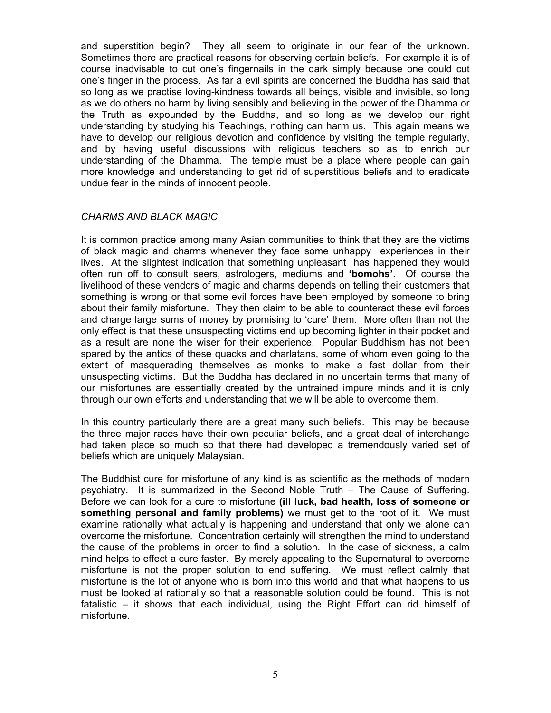and superstition begin? They all seem to originate in our fear of the unknown. Sometimes there are practical reasons for observing certain beliefs. For example it is of course inadvisable to cut one's fingernails in the dark simply because one could cut one's finger in the process. As far a evil spirits are concerned the Buddha has said that so long as we practise loving-kindness towards all beings, visible and invisible, so long as we do others no harm by living sensibly and believing in the power of the Dhamma or the Truth as expounded by the Buddha, and so long as we develop our right understanding by studying his Teachings, nothing can harm us. This again means we have to develop our religious devotion and confidence by visiting the temple regularly, and by having useful discussions with religious teachers so as to enrich our understanding of the Dhamma. The temple must be a place where people can gain more knowledge and understanding to get rid of superstitious beliefs and to eradicate undue fear in the minds of innocent people.

#### *CHARMS AND BLACK MAGIC*

It is common practice among many Asian communities to think that they are the victims of black magic and charms whenever they face some unhappy experiences in their lives. At the slightest indication that something unpleasant has happened they would often run off to consult seers, astrologers, mediums and **'bomohs'**. Of course the livelihood of these vendors of magic and charms depends on telling their customers that something is wrong or that some evil forces have been employed by someone to bring about their family misfortune. They then claim to be able to counteract these evil forces and charge large sums of money by promising to 'cure' them. More often than not the only effect is that these unsuspecting victims end up becoming lighter in their pocket and as a result are none the wiser for their experience. Popular Buddhism has not been spared by the antics of these quacks and charlatans, some of whom even going to the extent of masquerading themselves as monks to make a fast dollar from their unsuspecting victims. But the Buddha has declared in no uncertain terms that many of our misfortunes are essentially created by the untrained impure minds and it is only through our own efforts and understanding that we will be able to overcome them.

In this country particularly there are a great many such beliefs. This may be because the three major races have their own peculiar beliefs, and a great deal of interchange had taken place so much so that there had developed a tremendously varied set of beliefs which are uniquely Malaysian.

The Buddhist cure for misfortune of any kind is as scientific as the methods of modern psychiatry. It is summarized in the Second Noble Truth – The Cause of Suffering. Before we can look for a cure to misfortune **(ill luck, bad health, loss of someone or something personal and family problems)** we must get to the root of it. We must examine rationally what actually is happening and understand that only we alone can overcome the misfortune. Concentration certainly will strengthen the mind to understand the cause of the problems in order to find a solution. In the case of sickness, a calm mind helps to effect a cure faster. By merely appealing to the Supernatural to overcome misfortune is not the proper solution to end suffering. We must reflect calmly that misfortune is the lot of anyone who is born into this world and that what happens to us must be looked at rationally so that a reasonable solution could be found. This is not fatalistic – it shows that each individual, using the Right Effort can rid himself of misfortune.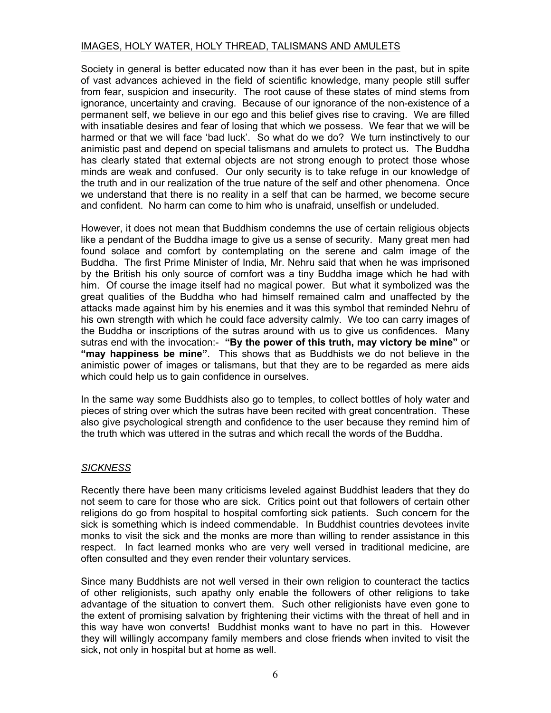### IMAGES, HOLY WATER, HOLY THREAD, TALISMANS AND AMULETS

Society in general is better educated now than it has ever been in the past, but in spite of vast advances achieved in the field of scientific knowledge, many people still suffer from fear, suspicion and insecurity. The root cause of these states of mind stems from ignorance, uncertainty and craving. Because of our ignorance of the non-existence of a permanent self, we believe in our ego and this belief gives rise to craving. We are filled with insatiable desires and fear of losing that which we possess. We fear that we will be harmed or that we will face 'bad luck'. So what do we do? We turn instinctively to our animistic past and depend on special talismans and amulets to protect us. The Buddha has clearly stated that external objects are not strong enough to protect those whose minds are weak and confused. Our only security is to take refuge in our knowledge of the truth and in our realization of the true nature of the self and other phenomena. Once we understand that there is no reality in a self that can be harmed, we become secure and confident. No harm can come to him who is unafraid, unselfish or undeluded.

However, it does not mean that Buddhism condemns the use of certain religious objects like a pendant of the Buddha image to give us a sense of security. Many great men had found solace and comfort by contemplating on the serene and calm image of the Buddha. The first Prime Minister of India, Mr. Nehru said that when he was imprisoned by the British his only source of comfort was a tiny Buddha image which he had with him. Of course the image itself had no magical power. But what it symbolized was the great qualities of the Buddha who had himself remained calm and unaffected by the attacks made against him by his enemies and it was this symbol that reminded Nehru of his own strength with which he could face adversity calmly. We too can carry images of the Buddha or inscriptions of the sutras around with us to give us confidences. Many sutras end with the invocation:- **"By the power of this truth, may victory be mine"** or **"may happiness be mine"**. This shows that as Buddhists we do not believe in the animistic power of images or talismans, but that they are to be regarded as mere aids which could help us to gain confidence in ourselves.

In the same way some Buddhists also go to temples, to collect bottles of holy water and pieces of string over which the sutras have been recited with great concentration. These also give psychological strength and confidence to the user because they remind him of the truth which was uttered in the sutras and which recall the words of the Buddha.

### *SICKNESS*

Recently there have been many criticisms leveled against Buddhist leaders that they do not seem to care for those who are sick. Critics point out that followers of certain other religions do go from hospital to hospital comforting sick patients. Such concern for the sick is something which is indeed commendable. In Buddhist countries devotees invite monks to visit the sick and the monks are more than willing to render assistance in this respect. In fact learned monks who are very well versed in traditional medicine, are often consulted and they even render their voluntary services.

Since many Buddhists are not well versed in their own religion to counteract the tactics of other religionists, such apathy only enable the followers of other religions to take advantage of the situation to convert them. Such other religionists have even gone to the extent of promising salvation by frightening their victims with the threat of hell and in this way have won converts! Buddhist monks want to have no part in this. However they will willingly accompany family members and close friends when invited to visit the sick, not only in hospital but at home as well.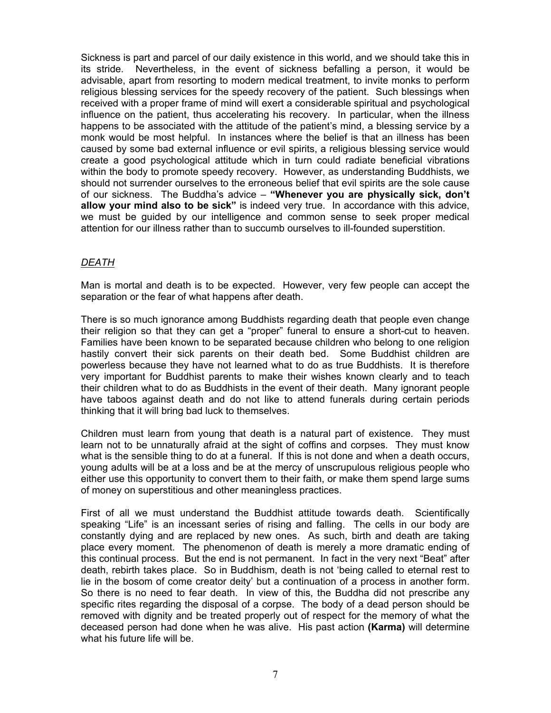Sickness is part and parcel of our daily existence in this world, and we should take this in its stride. Nevertheless, in the event of sickness befalling a person, it would be advisable, apart from resorting to modern medical treatment, to invite monks to perform religious blessing services for the speedy recovery of the patient. Such blessings when received with a proper frame of mind will exert a considerable spiritual and psychological influence on the patient, thus accelerating his recovery. In particular, when the illness happens to be associated with the attitude of the patient's mind, a blessing service by a monk would be most helpful. In instances where the belief is that an illness has been caused by some bad external influence or evil spirits, a religious blessing service would create a good psychological attitude which in turn could radiate beneficial vibrations within the body to promote speedy recovery. However, as understanding Buddhists, we should not surrender ourselves to the erroneous belief that evil spirits are the sole cause of our sickness. The Buddha's advice – **"Whenever you are physically sick, don't allow your mind also to be sick"** is indeed very true. In accordance with this advice, we must be guided by our intelligence and common sense to seek proper medical attention for our illness rather than to succumb ourselves to ill-founded superstition.

# *DEATH*

Man is mortal and death is to be expected. However, very few people can accept the separation or the fear of what happens after death.

There is so much ignorance among Buddhists regarding death that people even change their religion so that they can get a "proper" funeral to ensure a short-cut to heaven. Families have been known to be separated because children who belong to one religion hastily convert their sick parents on their death bed. Some Buddhist children are powerless because they have not learned what to do as true Buddhists. It is therefore very important for Buddhist parents to make their wishes known clearly and to teach their children what to do as Buddhists in the event of their death. Many ignorant people have taboos against death and do not like to attend funerals during certain periods thinking that it will bring bad luck to themselves.

Children must learn from young that death is a natural part of existence. They must learn not to be unnaturally afraid at the sight of coffins and corpses. They must know what is the sensible thing to do at a funeral. If this is not done and when a death occurs, young adults will be at a loss and be at the mercy of unscrupulous religious people who either use this opportunity to convert them to their faith, or make them spend large sums of money on superstitious and other meaningless practices.

First of all we must understand the Buddhist attitude towards death. Scientifically speaking "Life" is an incessant series of rising and falling. The cells in our body are constantly dying and are replaced by new ones. As such, birth and death are taking place every moment. The phenomenon of death is merely a more dramatic ending of this continual process. But the end is not permanent. In fact in the very next "Beat" after death, rebirth takes place. So in Buddhism, death is not 'being called to eternal rest to lie in the bosom of come creator deity' but a continuation of a process in another form. So there is no need to fear death. In view of this, the Buddha did not prescribe any specific rites regarding the disposal of a corpse. The body of a dead person should be removed with dignity and be treated properly out of respect for the memory of what the deceased person had done when he was alive. His past action **(Karma)** will determine what his future life will be.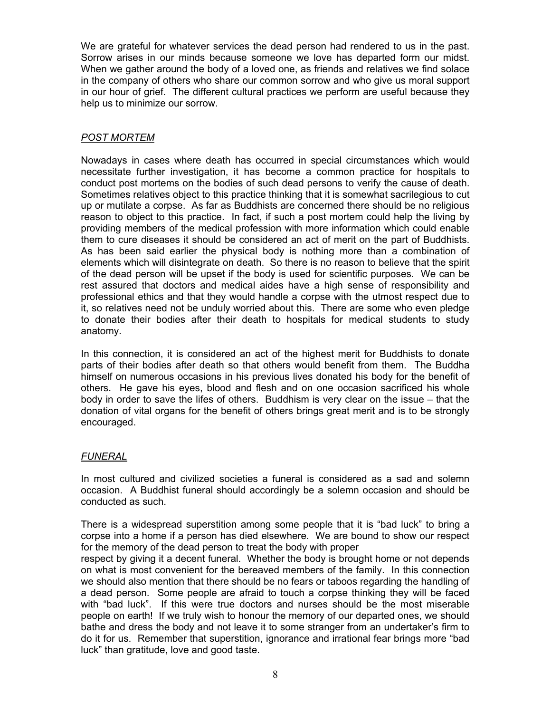We are grateful for whatever services the dead person had rendered to us in the past. Sorrow arises in our minds because someone we love has departed form our midst. When we gather around the body of a loved one, as friends and relatives we find solace in the company of others who share our common sorrow and who give us moral support in our hour of grief. The different cultural practices we perform are useful because they help us to minimize our sorrow.

# *POST MORTEM*

Nowadays in cases where death has occurred in special circumstances which would necessitate further investigation, it has become a common practice for hospitals to conduct post mortems on the bodies of such dead persons to verify the cause of death. Sometimes relatives object to this practice thinking that it is somewhat sacrilegious to cut up or mutilate a corpse. As far as Buddhists are concerned there should be no religious reason to object to this practice. In fact, if such a post mortem could help the living by providing members of the medical profession with more information which could enable them to cure diseases it should be considered an act of merit on the part of Buddhists. As has been said earlier the physical body is nothing more than a combination of elements which will disintegrate on death. So there is no reason to believe that the spirit of the dead person will be upset if the body is used for scientific purposes. We can be rest assured that doctors and medical aides have a high sense of responsibility and professional ethics and that they would handle a corpse with the utmost respect due to it, so relatives need not be unduly worried about this. There are some who even pledge to donate their bodies after their death to hospitals for medical students to study anatomy.

In this connection, it is considered an act of the highest merit for Buddhists to donate parts of their bodies after death so that others would benefit from them. The Buddha himself on numerous occasions in his previous lives donated his body for the benefit of others. He gave his eyes, blood and flesh and on one occasion sacrificed his whole body in order to save the lifes of others. Buddhism is very clear on the issue – that the donation of vital organs for the benefit of others brings great merit and is to be strongly encouraged.

### *FUNERAL*

In most cultured and civilized societies a funeral is considered as a sad and solemn occasion. A Buddhist funeral should accordingly be a solemn occasion and should be conducted as such.

There is a widespread superstition among some people that it is "bad luck" to bring a corpse into a home if a person has died elsewhere. We are bound to show our respect for the memory of the dead person to treat the body with proper

respect by giving it a decent funeral. Whether the body is brought home or not depends on what is most convenient for the bereaved members of the family. In this connection we should also mention that there should be no fears or taboos regarding the handling of a dead person. Some people are afraid to touch a corpse thinking they will be faced with "bad luck". If this were true doctors and nurses should be the most miserable people on earth! If we truly wish to honour the memory of our departed ones, we should bathe and dress the body and not leave it to some stranger from an undertaker's firm to do it for us. Remember that superstition, ignorance and irrational fear brings more "bad luck" than gratitude, love and good taste.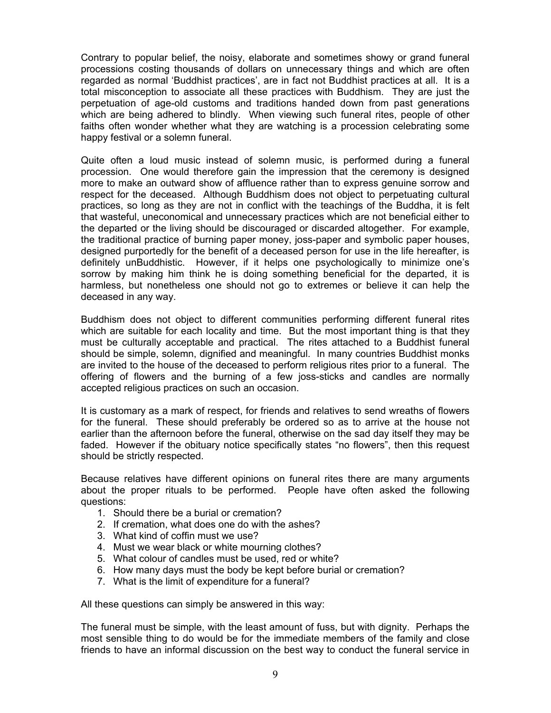Contrary to popular belief, the noisy, elaborate and sometimes showy or grand funeral processions costing thousands of dollars on unnecessary things and which are often regarded as normal 'Buddhist practices', are in fact not Buddhist practices at all. It is a total misconception to associate all these practices with Buddhism. They are just the perpetuation of age-old customs and traditions handed down from past generations which are being adhered to blindly. When viewing such funeral rites, people of other faiths often wonder whether what they are watching is a procession celebrating some happy festival or a solemn funeral.

Quite often a loud music instead of solemn music, is performed during a funeral procession. One would therefore gain the impression that the ceremony is designed more to make an outward show of affluence rather than to express genuine sorrow and respect for the deceased. Although Buddhism does not object to perpetuating cultural practices, so long as they are not in conflict with the teachings of the Buddha, it is felt that wasteful, uneconomical and unnecessary practices which are not beneficial either to the departed or the living should be discouraged or discarded altogether. For example, the traditional practice of burning paper money, joss-paper and symbolic paper houses, designed purportedly for the benefit of a deceased person for use in the life hereafter, is definitely unBuddhistic. However, if it helps one psychologically to minimize one's sorrow by making him think he is doing something beneficial for the departed, it is harmless, but nonetheless one should not go to extremes or believe it can help the deceased in any way.

Buddhism does not object to different communities performing different funeral rites which are suitable for each locality and time. But the most important thing is that they must be culturally acceptable and practical. The rites attached to a Buddhist funeral should be simple, solemn, dignified and meaningful. In many countries Buddhist monks are invited to the house of the deceased to perform religious rites prior to a funeral. The offering of flowers and the burning of a few joss-sticks and candles are normally accepted religious practices on such an occasion.

It is customary as a mark of respect, for friends and relatives to send wreaths of flowers for the funeral. These should preferably be ordered so as to arrive at the house not earlier than the afternoon before the funeral, otherwise on the sad day itself they may be faded. However if the obituary notice specifically states "no flowers", then this request should be strictly respected.

Because relatives have different opinions on funeral rites there are many arguments about the proper rituals to be performed. People have often asked the following questions:

- 1. Should there be a burial or cremation?
- 2. If cremation, what does one do with the ashes?
- 3. What kind of coffin must we use?
- 4. Must we wear black or white mourning clothes?
- 5. What colour of candles must be used, red or white?
- 6. How many days must the body be kept before burial or cremation?
- 7. What is the limit of expenditure for a funeral?

All these questions can simply be answered in this way:

The funeral must be simple, with the least amount of fuss, but with dignity. Perhaps the most sensible thing to do would be for the immediate members of the family and close friends to have an informal discussion on the best way to conduct the funeral service in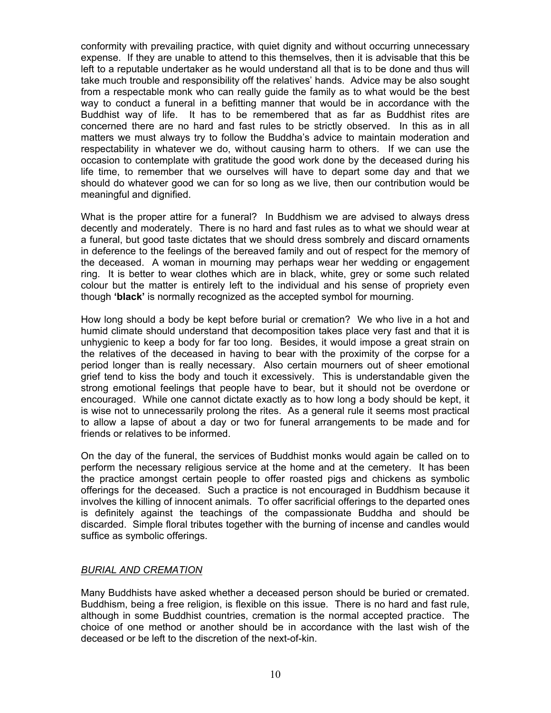conformity with prevailing practice, with quiet dignity and without occurring unnecessary expense. If they are unable to attend to this themselves, then it is advisable that this be left to a reputable undertaker as he would understand all that is to be done and thus will take much trouble and responsibility off the relatives' hands. Advice may be also sought from a respectable monk who can really guide the family as to what would be the best way to conduct a funeral in a befitting manner that would be in accordance with the Buddhist way of life. It has to be remembered that as far as Buddhist rites are concerned there are no hard and fast rules to be strictly observed. In this as in all matters we must always try to follow the Buddha's advice to maintain moderation and respectability in whatever we do, without causing harm to others. If we can use the occasion to contemplate with gratitude the good work done by the deceased during his life time, to remember that we ourselves will have to depart some day and that we should do whatever good we can for so long as we live, then our contribution would be meaningful and dignified.

What is the proper attire for a funeral? In Buddhism we are advised to always dress decently and moderately. There is no hard and fast rules as to what we should wear at a funeral, but good taste dictates that we should dress sombrely and discard ornaments in deference to the feelings of the bereaved family and out of respect for the memory of the deceased. A woman in mourning may perhaps wear her wedding or engagement ring. It is better to wear clothes which are in black, white, grey or some such related colour but the matter is entirely left to the individual and his sense of propriety even though **'black'** is normally recognized as the accepted symbol for mourning.

How long should a body be kept before burial or cremation? We who live in a hot and humid climate should understand that decomposition takes place very fast and that it is unhygienic to keep a body for far too long. Besides, it would impose a great strain on the relatives of the deceased in having to bear with the proximity of the corpse for a period longer than is really necessary. Also certain mourners out of sheer emotional grief tend to kiss the body and touch it excessively. This is understandable given the strong emotional feelings that people have to bear, but it should not be overdone or encouraged. While one cannot dictate exactly as to how long a body should be kept, it is wise not to unnecessarily prolong the rites. As a general rule it seems most practical to allow a lapse of about a day or two for funeral arrangements to be made and for friends or relatives to be informed.

On the day of the funeral, the services of Buddhist monks would again be called on to perform the necessary religious service at the home and at the cemetery. It has been the practice amongst certain people to offer roasted pigs and chickens as symbolic offerings for the deceased. Such a practice is not encouraged in Buddhism because it involves the killing of innocent animals. To offer sacrificial offerings to the departed ones is definitely against the teachings of the compassionate Buddha and should be discarded. Simple floral tributes together with the burning of incense and candles would suffice as symbolic offerings.

#### *BURIAL AND CREMATION*

Many Buddhists have asked whether a deceased person should be buried or cremated. Buddhism, being a free religion, is flexible on this issue. There is no hard and fast rule, although in some Buddhist countries, cremation is the normal accepted practice. The choice of one method or another should be in accordance with the last wish of the deceased or be left to the discretion of the next-of-kin.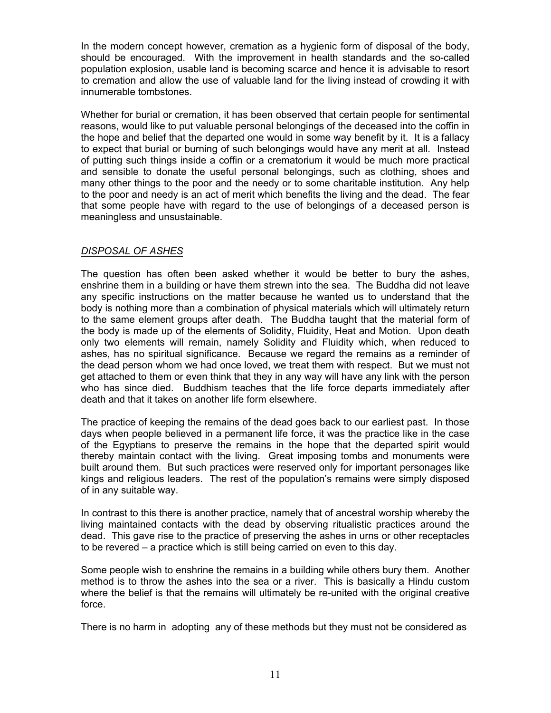In the modern concept however, cremation as a hygienic form of disposal of the body, should be encouraged. With the improvement in health standards and the so-called population explosion, usable land is becoming scarce and hence it is advisable to resort to cremation and allow the use of valuable land for the living instead of crowding it with innumerable tombstones.

Whether for burial or cremation, it has been observed that certain people for sentimental reasons, would like to put valuable personal belongings of the deceased into the coffin in the hope and belief that the departed one would in some way benefit by it. It is a fallacy to expect that burial or burning of such belongings would have any merit at all. Instead of putting such things inside a coffin or a crematorium it would be much more practical and sensible to donate the useful personal belongings, such as clothing, shoes and many other things to the poor and the needy or to some charitable institution. Any help to the poor and needy is an act of merit which benefits the living and the dead. The fear that some people have with regard to the use of belongings of a deceased person is meaningless and unsustainable.

### *DISPOSAL OF ASHES*

The question has often been asked whether it would be better to bury the ashes, enshrine them in a building or have them strewn into the sea. The Buddha did not leave any specific instructions on the matter because he wanted us to understand that the body is nothing more than a combination of physical materials which will ultimately return to the same element groups after death. The Buddha taught that the material form of the body is made up of the elements of Solidity, Fluidity, Heat and Motion. Upon death only two elements will remain, namely Solidity and Fluidity which, when reduced to ashes, has no spiritual significance. Because we regard the remains as a reminder of the dead person whom we had once loved, we treat them with respect. But we must not get attached to them or even think that they in any way will have any link with the person who has since died. Buddhism teaches that the life force departs immediately after death and that it takes on another life form elsewhere.

The practice of keeping the remains of the dead goes back to our earliest past. In those days when people believed in a permanent life force, it was the practice like in the case of the Egyptians to preserve the remains in the hope that the departed spirit would thereby maintain contact with the living. Great imposing tombs and monuments were built around them. But such practices were reserved only for important personages like kings and religious leaders. The rest of the population's remains were simply disposed of in any suitable way.

In contrast to this there is another practice, namely that of ancestral worship whereby the living maintained contacts with the dead by observing ritualistic practices around the dead. This gave rise to the practice of preserving the ashes in urns or other receptacles to be revered – a practice which is still being carried on even to this day.

Some people wish to enshrine the remains in a building while others bury them. Another method is to throw the ashes into the sea or a river. This is basically a Hindu custom where the belief is that the remains will ultimately be re-united with the original creative force.

There is no harm in adopting any of these methods but they must not be considered as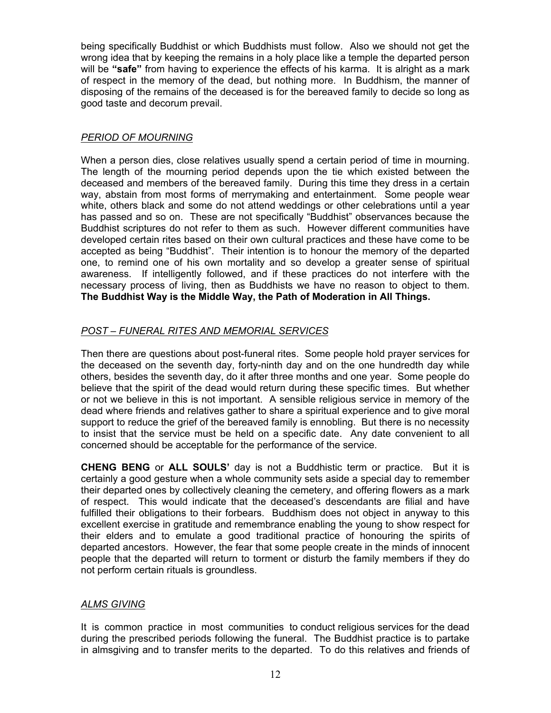being specifically Buddhist or which Buddhists must follow. Also we should not get the wrong idea that by keeping the remains in a holy place like a temple the departed person will be **"safe"** from having to experience the effects of his karma. It is alright as a mark of respect in the memory of the dead, but nothing more. In Buddhism, the manner of disposing of the remains of the deceased is for the bereaved family to decide so long as good taste and decorum prevail.

# *PERIOD OF MOURNING*

When a person dies, close relatives usually spend a certain period of time in mourning. The length of the mourning period depends upon the tie which existed between the deceased and members of the bereaved family. During this time they dress in a certain way, abstain from most forms of merrymaking and entertainment. Some people wear white, others black and some do not attend weddings or other celebrations until a year has passed and so on. These are not specifically "Buddhist" observances because the Buddhist scriptures do not refer to them as such. However different communities have developed certain rites based on their own cultural practices and these have come to be accepted as being "Buddhist". Their intention is to honour the memory of the departed one, to remind one of his own mortality and so develop a greater sense of spiritual awareness. If intelligently followed, and if these practices do not interfere with the necessary process of living, then as Buddhists we have no reason to object to them. **The Buddhist Way is the Middle Way, the Path of Moderation in All Things.** 

# *POST – FUNERAL RITES AND MEMORIAL SERVICES*

Then there are questions about post-funeral rites. Some people hold prayer services for the deceased on the seventh day, forty-ninth day and on the one hundredth day while others, besides the seventh day, do it after three months and one year. Some people do believe that the spirit of the dead would return during these specific times. But whether or not we believe in this is not important. A sensible religious service in memory of the dead where friends and relatives gather to share a spiritual experience and to give moral support to reduce the grief of the bereaved family is ennobling. But there is no necessity to insist that the service must be held on a specific date. Any date convenient to all concerned should be acceptable for the performance of the service.

**CHENG BENG** or **ALL SOULS'** day is not a Buddhistic term or practice. But it is certainly a good gesture when a whole community sets aside a special day to remember their departed ones by collectively cleaning the cemetery, and offering flowers as a mark of respect. This would indicate that the deceased's descendants are filial and have fulfilled their obligations to their forbears. Buddhism does not object in anyway to this excellent exercise in gratitude and remembrance enabling the young to show respect for their elders and to emulate a good traditional practice of honouring the spirits of departed ancestors. However, the fear that some people create in the minds of innocent people that the departed will return to torment or disturb the family members if they do not perform certain rituals is groundless.

### *ALMS GIVING*

It is common practice in most communities to conduct religious services for the dead during the prescribed periods following the funeral. The Buddhist practice is to partake in almsgiving and to transfer merits to the departed. To do this relatives and friends of